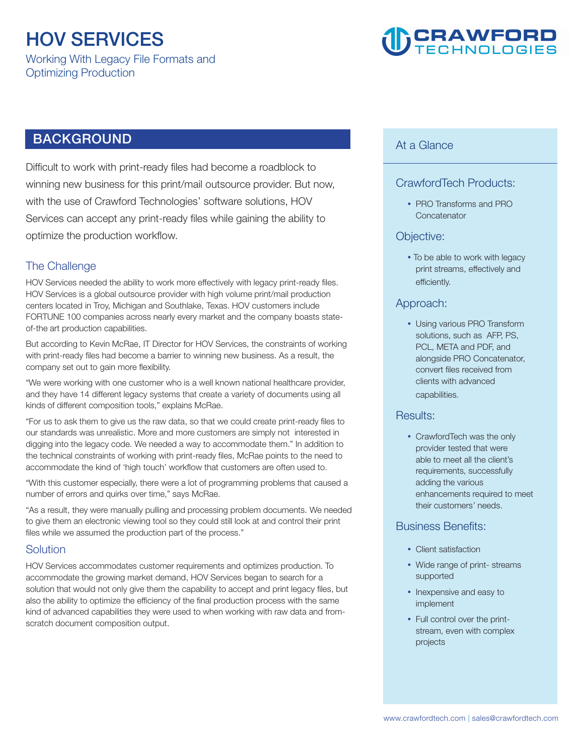# **HOV SERVICES**

**Working With Legacy File Formats and Optimizing Production** 

# **CRAWFORD**

# **BACKGROUND**

**Difficult to work with print-ready files had become a roadblock to winning new business for this print/mail outsource provider. But now, with the use of Crawford Technologies' software solutions, HOV Services can accept any print-ready files while gaining the ability to optimize the production workflow.** 

# **The Challenge**

**HOV Services needed the ability to work more effectively with legacy print-ready files. HOV Services is a global outsource provider with high volume print/mail production centers located in Troy, Michigan and Southlake, Texas. HOV customers include FORTUNE 100 companies across nearly every market and the company boasts stateof-the art production capabilities.** 

**But according to Kevin McRae, IT Director for HOV Services, the constraints of working with print-ready files had become a barrier to winning new business. As a result, the company set out to gain more flexibility.** 

**"We were working with one customer who is a well known national healthcare provider, and they have 14 different legacy systems that create a variety of documents using all kinds of different composition tools," explains McRae.** 

**"For us to ask them to give us the raw data, so that we could create print-ready files to our standards was unrealistic. More and more customers are simply not interested in digging into the legacy code. We needed a way to accommodate them." In addition to the technical constraints of working with print-ready files, McRae points to the need to accommodate the kind of 'high touch' workflow that customers are often used to.** 

**"With this customer especially, there were a lot of programming problems that caused a number of errors and quirks over time," says McRae.** 

**"As a result, they were manually pulling and processing problem documents. We needed to give them an electronic viewing tool so they could still look at and control their print files while we assumed the production part of the process."** 

## **Solution**

**HOV Services accommodates customer requirements and optimizes production. To accommodate the growing market demand, HOV Services began to search for a solution that would not only give them the capability to accept and print legacy files, but also the ability to optimize the efficiency of the final production process with the same kind of advanced capabilities they were used to when working with raw data and fromscratch document composition output.** 

#### **At a Glance**

# **CrawfordTech Products:**

y **PRO Transforms and PRO Concatenator**

#### **Objective:**

• To be able to work with legacy **print streams, effectively and efficiently.**

#### **Approach:**

• Using various PRO Transform **solutions, such as AFP, PS, PCL, META and PDF, and alongside PRO Concatenator, convert files received from clients with advanced capabilities.**

#### **Results:**

• CrawfordTech was the only **provider tested that were able to meet all the client's requirements, successfully adding the various enhancements required to meet their customers' needs.**

## **Business Benefits:**

- Client satisfaction
- Wide range of print- streams **supported**
- Inexpensive and easy to **implement**
- Full control over the print**stream, even with complex projects**